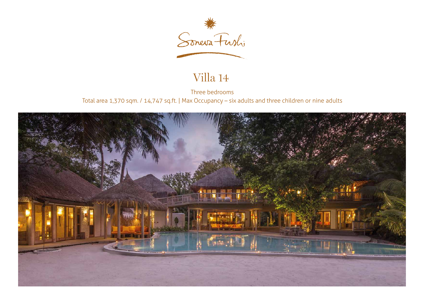

# Villa 14

Three bedrooms Total area 1,370 sqm. / 14,747 sq.ft. | Max Occupancy – six adults and three children or nine adults

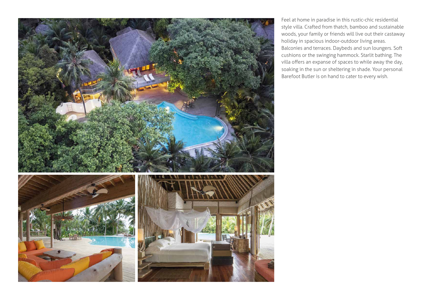

Feel at home in paradise in this rustic-chic residential style villa. Crafted from thatch, bamboo and sustainable woods, your family or friends will live out their castaway holiday in spacious indoor-outdoor living areas. Balconies and terraces. Daybeds and sun loungers. Soft cushions or the swinging hammock. Starlit bathing. The soaking in the sun or sheltering in shade. Your personal Barefoot Butler is on hand to cater to every wish. villa offers an expanse of spaces to while away the day,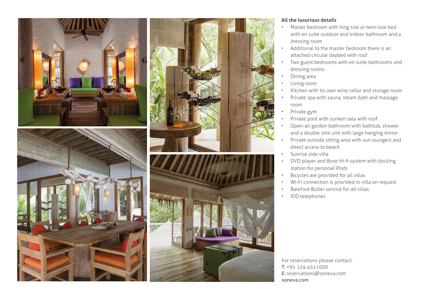







#### **All the luxurious details**

- Master bedroom with king size or twin-size bed with en suite outdoor and indoor bathroom and a dressing room
- Additional to the master bedroom there is an attached circular daybed with roof
- Two guest bedrooms with en suite bathrooms and dressing rooms
- Dining area
- Living room
- Kitchen with its own wine cellar and storage room
- Private spa with sauna, steam bath and massage room
- Private gym
- Private pool with sunken sala with roof
- Open-air garden bathroom with bathtub, shower and a double sink unit with large hanging mirror
- Private outside sitting area with sun loungers and direct access to beach
- Sunrise side villa
- station for personal iPods DVD player and Bose Hi-fi system with docking
- Bicycles are provided for all villas
- Wi-Fi connection is provided in villa on request
- Barefoot Butler service for all villas
- IDD telephones

For reservations please contact: T: +91 124 4511000 E: reservations@soneva.com soneva.com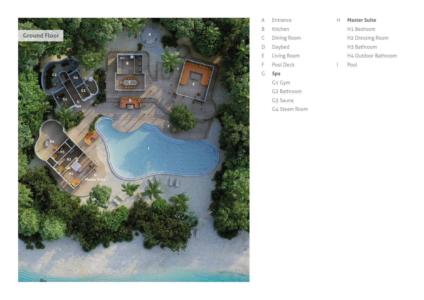

- A Entrance
- B Kitchen
- C Dining Room
- D Daybed
- E Living Room
- F Pool Deck
- G **Spa**
- G1 Gym
- G2 Bathroom
- G3 Sauna
- G4 Steam Room
- H **Master Suite**
	- H1 Bedroom
	- H2 Dressing Room
	- H3 Bathroom
	- H4 Outdoor Bathroom
- I Pool